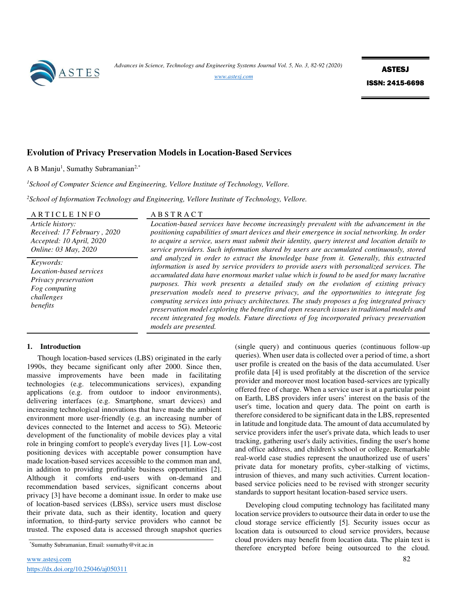

*Advances in Science, Technology and Engineering Systems Journal Vol. 5, No. 3, 82-92 (2020)* 

*[www.astesj.com](http://www.astesj.com/)*

ASTESJ ISSN: 2415-6698

# **Evolution of Privacy Preservation Models in Location-Based Services**

A B Manju<sup>1</sup>, Sumathy Subramanian<sup>2,\*</sup>

*<sup>1</sup>School of Computer Science and Engineering, Vellore Institute of Technology, Vellore.* 

*<sup>2</sup>School of Information Technology and Engineering, Vellore Institute of Technology, Vellore.* 

| ARTICLE INFO                                                                                            | ABSTRACT                                                                                                                                                                                                                                                                                                                                                                                                                                                                                                                                                                                                                                                                                                                                                                                                                                                                                                                                                                                                                                                                                                                                                                 |
|---------------------------------------------------------------------------------------------------------|--------------------------------------------------------------------------------------------------------------------------------------------------------------------------------------------------------------------------------------------------------------------------------------------------------------------------------------------------------------------------------------------------------------------------------------------------------------------------------------------------------------------------------------------------------------------------------------------------------------------------------------------------------------------------------------------------------------------------------------------------------------------------------------------------------------------------------------------------------------------------------------------------------------------------------------------------------------------------------------------------------------------------------------------------------------------------------------------------------------------------------------------------------------------------|
| Article history:<br>Received: 17 February, 2020<br>Accepted: 10 April, 2020<br>Online: 03 May, 2020     | Location-based services have become increasingly prevalent with the advancement in the<br>positioning capabilities of smart devices and their emergence in social networking. In order<br>to acquire a service, users must submit their identity, query interest and location details to<br>service providers. Such information shared by users are accumulated continuously, stored<br>and analyzed in order to extract the knowledge base from it. Generally, this extracted<br>information is used by service providers to provide users with personalized services. The<br>accumulated data have enormous market value which is found to be used for many lucrative<br>purposes. This work presents a detailed study on the evolution of existing privacy<br>preservation models need to preserve privacy, and the opportunities to integrate fog<br>computing services into privacy architectures. The study proposes a fog integrated privacy<br>preservation model exploring the benefits and open research issues in traditional models and<br>recent integrated fog models. Future directions of fog incorporated privacy preservation<br>models are presented. |
| Keywords:<br>Location-based services<br>Privacy preservation<br>Fog computing<br>challenges<br>benefits |                                                                                                                                                                                                                                                                                                                                                                                                                                                                                                                                                                                                                                                                                                                                                                                                                                                                                                                                                                                                                                                                                                                                                                          |

### **1. Introduction**

Though location-based services (LBS) originated in the early 1990s, they became significant only after 2000. Since then, massive improvements have been made in facilitating technologies (e.g. telecommunications services), expanding applications (e.g. from outdoor to indoor environments), delivering interfaces (e.g. Smartphone, smart devices) and increasing technological innovations that have made the ambient environment more user-friendly (e.g. an increasing number of devices connected to the Internet and access to 5G). Meteoric development of the functionality of mobile devices play a vital role in bringing comfort to people's everyday lives [1]. Low-cost positioning devices with acceptable power consumption have made location-based services accessible to the common man and, in addition to providing profitable business opportunities [2]. Although it comforts end-users with on-demand and recommendation based services, significant concerns about privacy [3] have become a dominant issue. In order to make use of location-based services (LBSs), service users must disclose their private data, such as their identity, location and query information, to third-party service providers who cannot be trusted. The exposed data is accessed through snapshot queries

(single query) and continuous queries (continuous follow-up queries). When user data is collected over a period of time, a short user profile is created on the basis of the data accumulated. User profile data [4] is used profitably at the discretion of the service provider and moreover most location based-services are typically offered free of charge. When a service user is at a particular point on Earth, LBS providers infer users' interest on the basis of the user's time, location and query data. The point on earth is therefore considered to be significant data in the LBS, represented in latitude and longitude data. The amount of data accumulated by service providers infer the user's private data, which leads to user tracking, gathering user's daily activities, finding the user's home and office address, and children's school or college. Remarkable real-world case studies represent the unauthorized use of users' private data for monetary profits, cyber-stalking of victims, intrusion of thieves, and many such activities. Current locationbased service policies need to be revised with stronger security standards to support hesitant location-based service users.

Developing cloud computing technology has facilitated many location service providers to outsource their data in order to use the cloud storage service efficiently [5]. Security issues occur as location data is outsourced to cloud service providers, because cloud providers may benefit from location data. The plain text is therefore encrypted before being outsourced to the cloud.

<sup>\*</sup>Sumathy Subramanian, Email: ssumathy@vit.ac.in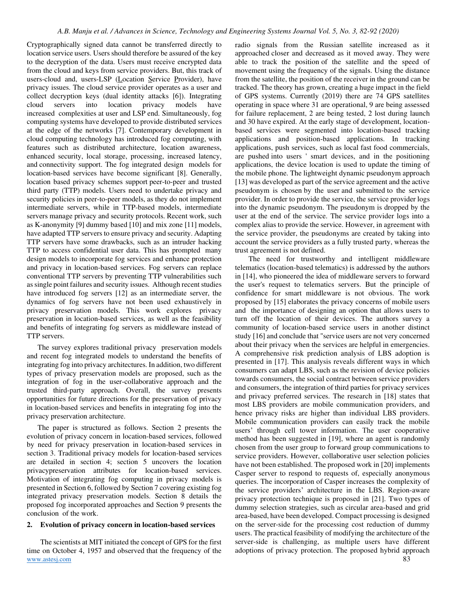Cryptographically signed data cannot be transferred directly to location service users. Users should therefore be assured of the key to the decryption of the data. Users must receive encrypted data from the cloud and keys from service providers. But, this track of users-cloud and, users-LSP (Location Service Provider), have privacy issues. The cloud service provider operates as a user and collect decryption keys (dual identity attacks [6]). Integrating cloud servers into location privacy models have increased complexities at user and LSP end. Simultaneously, fog computing systems have developed to provide distributed services at the edge of the networks [7]. Contemporary development in cloud computing technology has introduced fog computing, with features such as distributed architecture, location awareness, enhanced security, local storage, processing, increased latency, and connectivity support. The fog integrated design models for location-based services have become significant [8]. Generally, location based privacy schemes support peer-to-peer and trusted third party (TTP) models. Users need to undertake privacy and security policies in peer-to-peer models, as they do not implement intermediate servers, while in TTP-based models, intermediate servers manage privacy and security protocols. Recent work, such as K-anonymity [9] dummy based [10] and mix zone [11] models, have adapted TTP servers to ensure privacy and security. Adapting TTP servers have some drawbacks, such as an intruder hacking TTP to access confidential user data. This has prompted many design models to incorporate fog services and enhance protection and privacy in location-based services. Fog servers can replace conventional TTP servers by preventing TTP vulnerabilities such as single point failures and security issues. Although recent studies have introduced fog servers [12] as an intermediate server, the dynamics of fog servers have not been used exhaustively in privacy preservation models. This work explores privacy preservation in location-based services, as well as the feasibility and benefits of integrating fog servers as middleware instead of TTP servers.

The survey explores traditional privacy preservation models and recent fog integrated models to understand the benefits of integrating fog into privacy architectures. In addition, two different types of privacy preservation models are proposed, such as the integration of fog in the user-collaborative approach and the trusted third-party approach. Overall, the survey presents opportunities for future directions for the preservation of privacy in location-based services and benefits in integrating fog into the privacy preservation architecture.

The paper is structured as follows. Section 2 presents the evolution of privacy concern in location-based services, followed by need for privacy preservation in location-based services in section 3. Traditional privacy models for location-based services are detailed in section 4; section 5 uncovers the location privacypreservation attributes for location-based services. Motivation of integrating fog computing in privacy models is presented in Section 6, followed by Section 7 covering existing fog integrated privacy preservation models. Section 8 details the proposed fog incorporated approaches and Section 9 presents the conclusion of the work.

### **2. Evolution of privacy concern in location-based services**

[www.astesj.com](http://www.astesj.com/) 83 The scientists at MIT initiated the concept of GPS for the first time on October 4, 1957 and observed that the frequency of the

radio signals from the Russian satellite increased as it approached closer and decreased as it moved away. They were able to track the position of the satellite and the speed of movement using the frequency of the signals. Using the distance from the satellite, the position of the receiver in the ground can be tracked. The theory has grown, creating a huge impact in the field of GPS systems. Currently (2019) there are 74 GPS satellites operating in space where 31 are operational, 9 are being assessed for failure replacement, 2 are being tested, 2 lost during launch and 30 have expired. At the early stage of development, locationbased services were segmented into location-based tracking applications and position-based applications. In tracking applications, push services, such as local fast food commercials, are pushed into users ' smart devices, and in the positioning applications, the device location is used to update the timing of the mobile phone. The lightweight dynamic pseudonym approach [13] was developed as part of the service agreement and the active pseudonym is chosen by the user and submitted to the service provider. In order to provide the service, the service provider logs into the dynamic pseudonym. The pseudonym is dropped by the user at the end of the service. The service provider logs into a complex alias to provide the service. However, in agreement with the service provider, the pseudonyms are created by taking into account the service providers as a fully trusted party, whereas the trust agreement is not defined.

The need for trustworthy and intelligent middleware telematics (location-based telematics) is addressed by the authors in [14], who pioneered the idea of middleware servers to forward the user's request to telematics servers. But the principle of confidence for smart middleware is not obvious. The work proposed by [15] elaborates the privacy concerns of mobile users and the importance of designing an option that allows users to turn off the location of their devices. The authors survey a community of location-based service users in another distinct study [16] and conclude that "service users are not very concerned about their privacy when the services are helpful in emergencies. A comprehensive risk prediction analysis of LBS adoption is presented in [17]. This analysis reveals different ways in which consumers can adapt LBS, such as the revision of device policies towards consumers, the social contract between service providers and consumers, the integration of third parties for privacy services and privacy preferred services. The research in [18] states that most LBS providers are mobile communication providers, and hence privacy risks are higher than individual LBS providers. Mobile communication providers can easily track the mobile users' through cell tower information. The user cooperative method has been suggested in [19], where an agent is randomly chosen from the user group to forward group communications to service providers. However, collaborative user selection policies have not been established. The proposed work in [20] implements Casper server to respond to requests of, especially anonymous queries. The incorporation of Casper increases the complexity of the service providers' architecture in the LBS. Region-aware privacy protection technique is proposed in [21]. Two types of dummy selection strategies, such as circular area-based and grid area-based, have been developed. Compact processing is designed on the server-side for the processing cost reduction of dummy users. The practical feasibility of modifying the architecture of the server-side is challenging, as multiple users have different adoptions of privacy protection. The proposed hybrid approach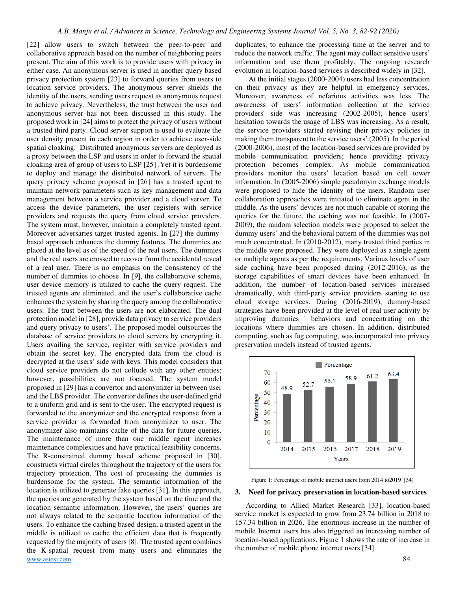[www.astesj.com](http://www.astesj.com/) 84 [22] allow users to switch between the peer-to-peer and collaborative approach based on the number of neighboring peers present. The aim of this work is to provide users with privacy in either case. An anonymous server is used in another query based privacy protection system [23] to forward queries from users to location service providers. The anonymous server shields the identity of the users, sending users request as anonymous request to achieve privacy. Nevertheless, the trust between the user and anonymous server has not been discussed in this study. The proposed work in [24] aims to protect the privacy of users without a trusted third party. Cloud server support is used to evaluate the user density present in each region in order to achieve user-side spatial cloaking. Distributed anonymous servers are deployed as a proxy between the LSP and users in order to forward the spatial cloaking area of group of users to LSP [25] .Yet it is burdensome to deploy and manage the distributed network of servers. The query privacy scheme proposed in [26] has a trusted agent to maintain network parameters such as key management and data management between a service provider and a cloud server. To access the device parameters, the user registers with service providers and requests the query from cloud service providers. The system must, however, maintain a completely trusted agent. Moreover adversaries target trusted agents. In [27] the dummybased approach enhances the dummy features. The dummies are placed at the level as of the speed of the real users. The dummies and the real users are crossed to recover from the accidental reveal of a real user. There is no emphasis on the consistency of the number of dummies to choose. In [9], the collaborative scheme, user device memory is utilized to cache the query request. The trusted agents are eliminated, and the user's collaborative cache enhances the system by sharing the query among the collaborative users. The trust between the users are not elaborated. The dual protection model in [28], provide data privacy to service providers and query privacy to users'. The proposed model outsources the database of service providers to cloud servers by encrypting it. Users availing the service, register with service providers and obtain the secret key. The encrypted data from the cloud is decrypted at the users' side with keys. This model considers that cloud service providers do not collude with any other entities; however, possibilities are not focused. The system model proposed in [29] has a convertor and anonymizer in between user and the LBS provider. The convertor defines the user-defined grid to a uniform grid and is sent to the user. The encrypted request is forwarded to the anonymizer and the encrypted response from a service provider is forwarded from anonymizer to user. The anonymizer also maintains cache of the data for future queries. The maintenance of more than one middle agent increases maintenance complexities and have practical feasibility concerns. The R-constrained dummy based scheme proposed in [30], constructs virtual circles throughout the trajectory of the users for trajectory protection. The cost of processing the dummies is burdensome for the system. The semantic information of the location is utilized to generate fake queries [31]. In this approach, the queries are generated by the system based on the time and the location semantic information. However, the users' queries are not always related to the semantic location information of the users. To enhance the caching based design, a trusted agent in the middle is utilized to cache the efficient data that is frequently requested by the majority of users [8]. The trusted agent combines the K-spatial request from many users and eliminates the

duplicates, to enhance the processing time at the server and to reduce the network traffic. The agent may collect sensitive users' information and use them profitably. The ongoing research evolution in location-based services is described widely in [32].

At the initial stages (2000-2004) users had less concentration on their privacy as they are helpful in emergency services. Moreover, awareness of nefarious activities was less. The awareness of users' information collection at the service providers' side was increasing (2002-2005), hence users' hesitation towards the usage of LBS was increasing. As a result, the service providers started revising their privacy policies in making them transparent to the service users' (2005). In the period (2000-2006), most of the location-based services are provided by mobile communication providers; hence providing privacy protection becomes complex. As mobile communication providers monitor the users' location based on cell tower information. In (2005-2006) simple pseudonym exchange models were proposed to hide the identity of the users. Random user collaboration approaches were initiated to eliminate agent in the middle. As the users' devices are not much capable of storing the queries for the future, the caching was not feasible. In (2007- 2009), the random selection models were proposed to select the dummy users' and the behavioral pattern of the dummies was not much concentrated. In (2010-2012), many trusted third parties in the middle were proposed. They were deployed as a single agent or multiple agents as per the requirements. Various levels of user side caching have been proposed during (2012-2016), as the storage capabilities of smart devices have been enhanced. In addition, the number of location-based services increased dramatically, with third-party service providers starting to use cloud storage services. During (2016-2019), dummy-based strategies have been provided at the level of real user activity by improving dummies ' behaviors and concentrating on the locations where dummies are chosen. In addition, distributed computing, such as fog computing, was incorporated into privacy preservation models instead of trusted agents.



Figure 1: Percentage of mobile internet users from 2014 to2019 [34]

#### **3. Need for privacy preservation in location-based services**

According to Allied Market Research [33], location-based service market is expected to grow from 23.74 billion in 2018 to 157.34 billion in 2026. The enormous increase in the number of mobile Internet users has also triggered an increasing number of location-based applications. Figure 1 shows the rate of increase in the number of mobile phone internet users [34].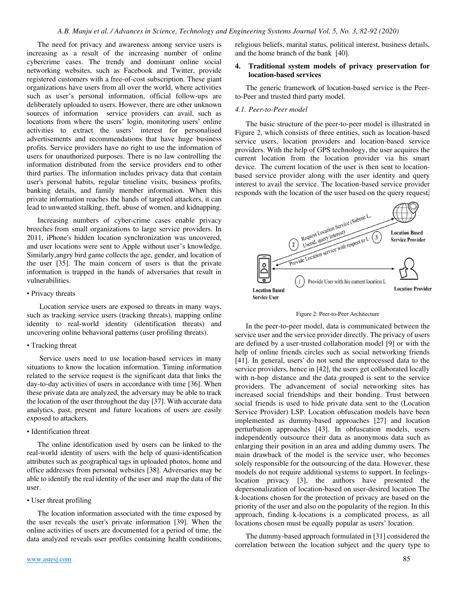The need for privacy and awareness among service users is increasing as a result of the increasing number of online cybercrime cases. The trendy and dominant online social networking websites, such as Facebook and Twitter, provide registered customers with a free-of-cost subscription. These giant organizations have users from all over the world, where activities such as user's personal information, official follow-ups are deliberately uploaded to users. However, there are other unknown sources of information service providers can avail, such as locations from where the users' login, monitoring users' online activities to extract the users' interest for personalised advertisements and recommendations that have huge business profits. Service providers have no right to use the information of users for unauthorized purposes. There is no law controlling the information distributed from the service providers end to other third parties. The information includes privacy data that contain user's personal habits, regular timeline visits, business profits, banking details, and family member information. When this private information reaches the hands of targeted attackers, it can lead to unwanted stalking, theft, abuse of women, and kidnapping.

Increasing numbers of cyber-crime cases enable privacy breeches from small organizations to large service providers. In 2011, iPhone's hidden location synchronization was uncovered, and user locations were sent to Apple without user's knowledge. Similarly,angry bird game collects the age, gender, and location of the user [35]. The main concern of users is that the private information is trapped in the hands of adversaries that result in vulnerabilities.

#### • Privacy threats

 Location service users are exposed to threats in many ways, such as tracking service users (tracking threats), mapping online identity to real-world identity (identification threats) and uncovering online behavioral patterns (user profiling threats).

### • Tracking threat

 Service users need to use location-based services in many situations to know the location information. Timing information related to the service request is the significant data that links the day-to-day activities of users in accordance with time [36]. When these private data are analyzed, the adversary may be able to track the location of the user throughout the day [37]. With accurate data analytics, past, present and future locations of users are easily exposed to attackers.

### • Identification threat

The online identification used by users can be linked to the real-world identity of users with the help of quasi-identification attributes such as geographical tags in uploaded photos, home and office addresses from personal websites [38]. Adversaries may be able to identify the real identity of the user and map the data of the user.

### • User threat profiling

The location information associated with the time exposed by the user reveals the user's private information [39]. When the online activities of users are documented for a period of time, the data analyzed reveals user profiles containing health conditions,

religious beliefs, marital status, political interest, business details, and the home branch of the bank [40].

### **4. Traditional system models of privacy preservation for location-based services**

The generic framework of location-based service is the Peerto-Peer and trusted third party model.

### *4.1. Peer-to-Peer model*

The basic structure of the peer-to-peer model is illustrated in Figure 2, which consists of three entities, such as location-based service users, location providers and location-based service providers. With the help of GPS technology, the user acquires the current location from the location provider via his smart device. The current location of the user is then sent to locationbased service provider along with the user identity and query interest to avail the service. The location-based service provider responds with the location of the user based on the query request.



Figure 2: Peer-to-Peer Architecture

In the peer-to-peer model, data is communicated between the service user and the service provider directly. The privacy of users are defined by a user-trusted collaboration model [9] or with the help of online friends circles such as social networking friends [41]. In general, users' do not send the unprocessed data to the service providers, hence in [42], the users get collaborated locally with n-hop distance and the data grouped is sent to the service providers. The advancement of social networking sites has increased social friendships and their bonding. Trust between social friends is used to hide private data sent to the (Location Service Provider) LSP. Location obfuscation models have been implemented as dummy-based approaches [27] and location perturbation approaches [43]. In obfuscation models, users independently outsource their data as anonymous data such as enlarging their position in an area and adding dummy users. The main drawback of the model is the service user, who becomes solely responsible for the outsourcing of the data. However, these models do not require additional systems to support. In feelingslocation privacy [3], the authors have presented the depersonalization of location-based on user-desired location The k-locations chosen for the protection of privacy are based on the priority of the user and also on the popularity of the region. In this approach, finding k-locations is a complicated process, as all locations chosen must be equally popular as users' location.

The dummy-based approach formulated in [31] considered the correlation between the location subject and the query type to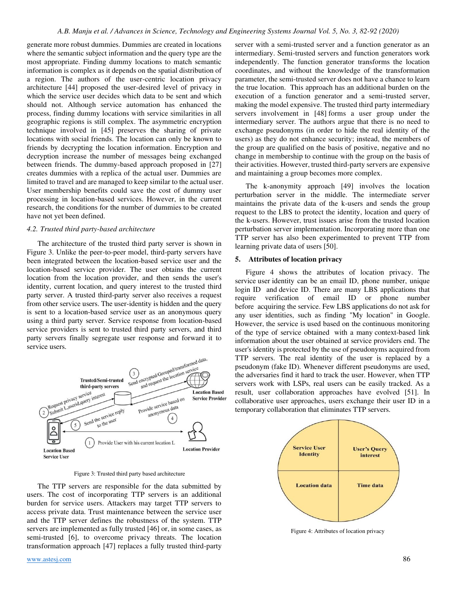generate more robust dummies. Dummies are created in locations where the semantic subject information and the query type are the most appropriate. Finding dummy locations to match semantic information is complex as it depends on the spatial distribution of a region. The authors of the user-centric location privacy architecture [44] proposed the user-desired level of privacy in which the service user decides which data to be sent and which should not. Although service automation has enhanced the process, finding dummy locations with service similarities in all geographic regions is still complex. The asymmetric encryption technique involved in [45] preserves the sharing of private locations with social friends. The location can only be known to friends by decrypting the location information. Encryption and decryption increase the number of messages being exchanged between friends. The dummy-based approach proposed in [27] creates dummies with a replica of the actual user. Dummies are limited to travel and are managed to keep similar to the actual user. User membership benefits could save the cost of dummy user processing in location-based services. However, in the current research, the conditions for the number of dummies to be created have not yet been defined.

### *4.2. Trusted third party-based architecture*

The architecture of the trusted third party server is shown in Figure 3. Unlike the peer-to-peer model, third-party servers have been integrated between the location-based service user and the location-based service provider. The user obtains the current location from the location provider, and then sends the user's identity, current location, and query interest to the trusted third party server. A trusted third-party server also receives a request from other service users. The user-identity is hidden and the query is sent to a location-based service user as an anonymous query using a third party server. Service response from location-based service providers is sent to trusted third party servers, and third party servers finally segregate user response and forward it to service users.



Figure 3: Trusted third party based architecture

The TTP servers are responsible for the data submitted by users. The cost of incorporating TTP servers is an additional burden for service users. Attackers may target TTP servers to access private data. Trust maintenance between the service user and the TTP server defines the robustness of the system. TTP servers are implemented as fully trusted [46] or, in some cases, as semi-trusted [6], to overcome privacy threats. The location transformation approach [47] replaces a fully trusted third-party server with a semi-trusted server and a function generator as an intermediary. Semi-trusted servers and function generators work independently. The function generator transforms the location coordinates, and without the knowledge of the transformation parameter, the semi-trusted server does not have a chance to learn the true location. This approach has an additional burden on the execution of a function generator and a semi-trusted server, making the model expensive. The trusted third party intermediary servers involvement in [48] forms a user group under the intermediary server. The authors argue that there is no need to exchange pseudonyms (in order to hide the real identity of the users) as they do not enhance security; instead, the members of the group are qualified on the basis of positive, negative and no change in membership to continue with the group on the basis of their activities. However, trusted third-party servers are expensive and maintaining a group becomes more complex.

The k-anonymity approach [49] involves the location perturbation server in the middle. The intermediate server maintains the private data of the k-users and sends the group request to the LBS to protect the identity, location and query of the k-users. However, trust issues arise from the trusted location perturbation server implementation. Incorporating more than one TTP server has also been experimented to prevent TTP from learning private data of users [50].

### **5. Attributes of location privacy**

Figure 4 shows the attributes of location privacy. The service user identity can be an email ID, phone number, unique login ID and device ID. There are many LBS applications that require verification of email ID or phone number before acquiring the service. Few LBS applications do not ask for any user identities, such as finding "My location" in Google. However, the service is used based on the continuous monitoring of the type of service obtained with a many context-based link information about the user obtained at service providers end. The user's identity is protected by the use of pseudonyms acquired from TTP servers. The real identity of the user is replaced by a pseudonym (fake ID). Whenever different pseudonyms are used, the adversaries find it hard to track the user. However, when TTP servers work with LSPs, real users can be easily tracked. As a result, user collaboration approaches have evolved [51]. In collaborative user approaches, users exchange their user ID in a temporary collaboration that eliminates TTP servers.



Figure 4: Attributes of location privacy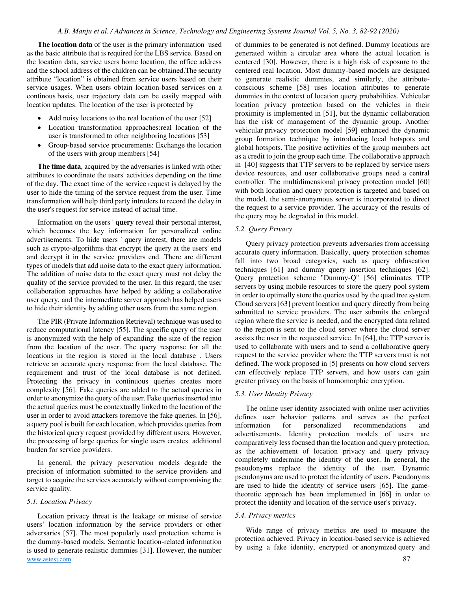**The location data** of the user is the primary information used as the basic attribute that is required for the LBS service. Based on the location data, service users home location, the office address and the school address of the children can be obtained.The security attribute "location" is obtained from service users based on their service usages. When users obtain location-based services on a continous basis, user trajectory data can be easily mapped with location updates. The location of the user is protected by

- Add noisy locations to the real location of the user [52]
- Location transformation approaches:real location of the user is transformed to other neighboring locations [53]
- Group-based service procurements: Exchange the location of the users with group members [54]

**The time data**, acquired by the adversaries is linked with other attributes to coordinate the users' activities depending on the time of the day. The exact time of the service request is delayed by the user to hide the timing of the service request from the user. Time transformation will help third party intruders to record the delay in the user's request for service instead of actual time.

Information on the users ' **query** reveal their personal interest, which becomes the key information for personalized online advertisements. To hide users ' query interest, there are models such as crypto-algorithms that encrypt the query at the users' end and decrypt it in the service providers end. There are different types of models that add noise data to the exact query information. The addition of noise data to the exact query must not delay the quality of the service provided to the user. In this regard, the user collaboration approaches have helped by adding a collaborative user query, and the intermediate server approach has helped users to hide their identity by adding other users from the same region.

The PIR (Private Information Retrieval) technique was used to reduce computational latency [55]. The specific query of the user is anonymized with the help of expanding the size of the region from the location of the user. The query response for all the locations in the region is stored in the local database . Users retrieve an accurate query response from the local database. The requirement and trust of the local database is not defined. Protecting the privacy in continuous queries creates more complexity [56]. Fake queries are added to the actual queries in order to anonymize the query of the user. Fake queries inserted into the actual queries must be contextually linked to the location of the user in order to avoid attackers toremove the fake queries. In [56], a query pool is built for each location, which provides queries from the historical query request provided by different users. However, the processing of large queries for single users creates additional burden for service providers.

In general, the privacy preservation models degrade the precision of information submitted to the service providers and target to acquire the services accurately without compromising the service quality.

#### *5.1. Location Privacy*

[www.astesj.com](http://www.astesj.com/) 87 Location privacy threat is the leakage or misuse of service users' location information by the service providers or other adversaries [57]. The most popularly used protection scheme is the dummy-based models. Semantic location-related information is used to generate realistic dummies [31]. However, the number

of dummies to be generated is not defined. Dummy locations are generated within a circular area where the actual location is centered [30]. However, there is a high risk of exposure to the centered real location. Most dummy-based models are designed to generate realistic dummies, and similarly, the attributeconscious scheme [58] uses location attributes to generate dummies in the context of location query probabilities. Vehicular location privacy protection based on the vehicles in their proximity is implemented in [51], but the dynamic collaboration has the risk of management of the dynamic group. Another vehicular privacy protection model [59] enhanced the dynamic group formation technique by introducing local hotspots and global hotspots. The positive activities of the group members act as a credit to join the group each time. The collaborative approach in [40] suggests that TTP servers to be replaced by service users device resources, and user collaborative groups need a central controller. The multidimensional privacy protection model [60] with both location and query protection is targeted and based on the model, the semi-anonymous server is incorporated to direct the request to a service provider. The accuracy of the results of the query may be degraded in this model.

### *5.2. Query Privacy*

Query privacy protection prevents adversaries from accessing accurate query information. Basically, query protection schemes fall into two broad categories, such as query obfuscation techniques [61] and dummy query insertion techniques [62]. Query protection scheme "Dummy-Q" [56] eliminates TTP servers by using mobile resources to store the query pool system in order to optimally store the queries used by the quad tree system. Cloud servers [63] prevent location and query directly from being submitted to service providers. The user submits the enlarged region where the service is needed, and the encrypted data related to the region is sent to the cloud server where the cloud server assists the user in the requested service. In [64], the TTP server is used to collaborate with users and to send a collaborative query request to the service provider where the TTP servers trust is not defined. The work proposed in [5] presents on how cloud servers can effectively replace TTP servers, and how users can gain greater privacy on the basis of homomorphic encryption.

### *5.3. User Identity Privacy*

The online user identity associated with online user activities defines user behavior patterns and serves as the perfect information for personalized recommendations and advertisements. Identity protection models of users are comparatively less focused than the location and query protection, as the achievement of location privacy and query privacy completely undermine the identity of the user. In general, the pseudonyms replace the identity of the user. Dynamic pseudonyms are used to protect the identity of users. Pseudonyms are used to hide the identity of service users [65]. The gametheoretic approach has been implemented in [66] in order to protect the identity and location of the service user's privacy.

### *5.4. Privacy metrics*

Wide range of privacy metrics are used to measure the protection achieved. Privacy in location-based service is achieved by using a fake identity, encrypted or anonymized query and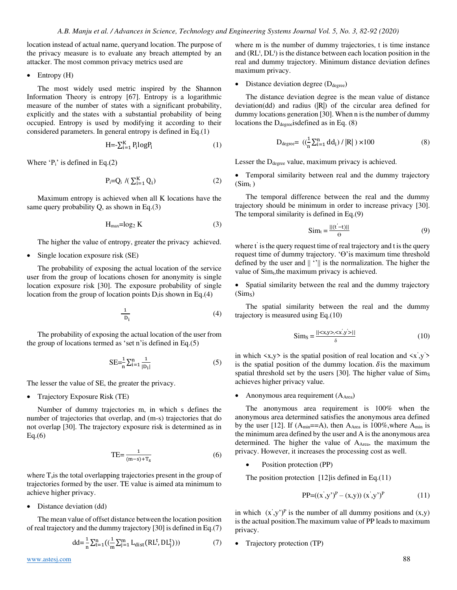location instead of actual name, queryand location. The purpose of the privacy measure is to evaluate any breach attempted by an attacker. The most common privacy metrics used are

• Entropy (H)

The most widely used metric inspired by the Shannon Information Theory is entropy [67]. Entropy is a logarithmic measure of the number of states with a significant probability, explicitly and the states with a substantial probability of being occupied. Entropy is used by modifying it according to their considered parameters. In general entropy is defined in Eq.(1)

$$
H = \sum_{i=1}^{K} P_i \log P_i \tag{1}
$$

Where  $P_i$  is defined in Eq.(2)

$$
P_i = Q_i \quad / \left( \sum_{i=1}^K Q_i \right) \tag{2}
$$

Maximum entropy is achieved when all K locations have the same query probability Q, as shown in Eq.(3)

$$
H_{\text{max}} = \log_2 K \tag{3}
$$

The higher the value of entropy, greater the privacy achieved.

• Single location exposure risk (SE)

The probability of exposing the actual location of the service user from the group of locations chosen for anonymity is single location exposure risk [30]. The exposure probability of single location from the group of location points D<sub>i</sub> is shown in Eq.(4)

$$
\frac{1}{D_i} \tag{4}
$$

The probability of exposing the actual location of the user from the group of locations termed as 'set n'is defined in Eq.(5)

$$
SE = \frac{1}{n} \sum_{i=1}^{n} \frac{1}{|D_i|}
$$
 (5)

The lesser the value of SE, the greater the privacy.

• Trajectory Exposure Risk (TE)

Number of dummy trajectories m, in which s defines the number of trajectories that overlap, and (m-s) trajectories that do not overlap [30]. The trajectory exposure risk is determined as in  $Eq.(6)$ 

$$
TE = \frac{1}{(m-s) + T_s} \tag{6}
$$

where T<sub>s</sub>is the total overlapping trajectories present in the group of trajectories formed by the user. TE value is aimed ata minimum to achieve higher privacy.

• Distance deviation (dd)

The mean value of offset distance between the location position of real trajectory and the dummy trajectory [30] is defined in Eq.(7)

$$
dd = \frac{1}{n} \sum_{t=1}^{n} \left( \left( \frac{1}{m} \sum_{j=1}^{m} L_{dist} \left( RL^{t}, DL_{j}^{t} \right) \right) \right) \tag{7}
$$

where m is the number of dummy trajectories, t is time instance and  $(RL<sup>t</sup>, DL<sup>t</sup>)$  is the distance between each location position in the real and dummy trajectory. Minimum distance deviation defines maximum privacy.

• Distance deviation degree  $(D_{degree})$ 

The distance deviation degree is the mean value of distance deviation(dd) and radius (|R|) of the circular area defined for dummy locations generation [30]. When n is the number of dummy locations the  $D_{degree}$ isdefined as in Eq. (8)

$$
D_{degree} = ((\frac{1}{n} \sum_{i=1}^{n} dd_i) / |R|) \times 100
$$
 (8)

Lesser the D<sub>degree</sub> value, maximum privacy is achieved.

• Temporal similarity between real and the dummy trajectory  $(Sim_t)$ 

The temporal difference between the real and the dummy trajectory should be minimum in order to increase privacy [30]. The temporal similarity is defined in Eq.(9)

$$
\text{Sim}_{t} = \frac{||(\mathbf{t}' - \mathbf{t})||}{\Theta} \tag{9}
$$

where t' is the query request time of real trajectory and t is the query request time of dummy trajectory. 'ϴ'is maximum time threshold defined by the user and  $|| \cdot ||$  is the normalization. The higher the value of Sim<sub>t</sub>, the maximum privacy is achieved.

• Spatial similarity between the real and the dummy trajectory  $(Sim<sub>S</sub>)$ 

The spatial similarity between the real and the dummy trajectory is measured using Eq.(10)

$$
\text{Sim}_S = \frac{||\langle x, y \rangle, \langle x', y' \rangle||}{\delta} \tag{10}
$$

in which  $\langle x, y \rangle$  is the spatial position of real location and  $\langle x', y' \rangle$ is the spatial position of the dummy location.  $\delta$  is the maximum spatial threshold set by the users [30]. The higher value of Sims achieves higher privacy value.

Anonymous area requirement  $(A<sub>Area</sub>)$ 

The anonymous area requirement is 100% when the anonymous area determined satisfies the anonymous area defined by the user [12]. If (Amin==A), then AArea is 100%,where Amin is the minimum area defined by the user and A is the anonymous area determined. The higher the value of AArea, the maximum the privacy. However, it increases the processing cost as well.

Position protection (PP)

The position protection [12] is defined in Eq. (11)

$$
PP=((x',y')^{P}-(x,y))(x',y')^{P}
$$
 (11)

in which  $(x', y')^P$  is the number of all dummy positions and  $(x,y)$ is the actual position.The maximum value of PP leads to maximum privacy.

• Trajectory protection (TP)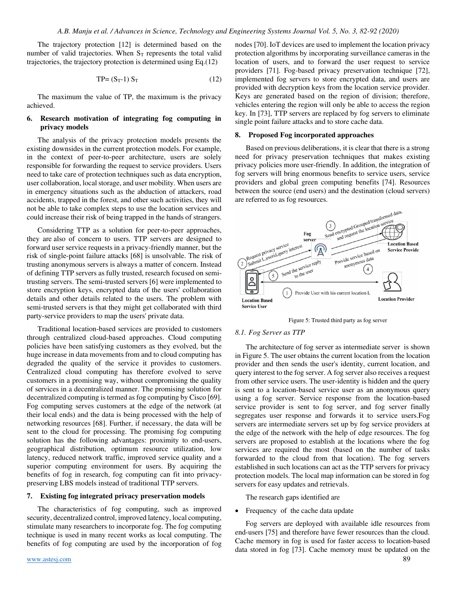The trajectory protection [12] is determined based on the number of valid trajectories. When  $S_T$  represents the total valid trajectories, the trajectory protection is determined using Eq.(12)

$$
TP = (S_T - 1) S_T \tag{12}
$$

The maximum the value of TP, the maximum is the privacy achieved.

## **6. Research motivation of integrating fog computing in privacy models**

The analysis of the privacy protection models presents the existing downsides in the current protection models. For example, in the context of peer-to-peer architecture, users are solely responsible for forwarding the request to service providers. Users need to take care of protection techniques such as data encryption, user collaboration, local storage, and user mobility. When users are in emergency situations such as the abduction of attackers, road accidents, trapped in the forest, and other such activities, they will not be able to take complex steps to use the location services and could increase their risk of being trapped in the hands of strangers.

Considering TTP as a solution for peer-to-peer approaches, they are also of concern to users. TTP servers are designed to forward user service requests in a privacy-friendly manner, but the risk of single-point failure attacks [68] is unsolvable. The risk of trusting anonymous servers is always a matter of concern. Instead of defining TTP servers as fully trusted, research focused on semitrusting servers. The semi-trusted servers [6] were implemented to store encryption keys, encrypted data of the users' collaboration details and other details related to the users. The problem with semi-trusted servers is that they might get collaborated with third party-service providers to map the users' private data.

Traditional location-based services are provided to customers through centralized cloud-based approaches. Cloud computing policies have been satisfying customers as they evolved, but the huge increase in data movements from and to cloud computing has degraded the quality of the service it provides to customers. Centralized cloud computing has therefore evolved to serve customers in a promising way, without compromising the quality of services in a decentralized manner. The promising solution for decentralized computing is termed as fog computing by Cisco [69]. Fog computing serves customers at the edge of the network (at their local ends) and the data is being processed with the help of networking resources [68]. Further, if necessary, the data will be sent to the cloud for processing. The promising fog computing solution has the following advantages: proximity to end-users, geographical distribution, optimum resource utilization, low latency, reduced network traffic, improved service quality and a superior computing environment for users. By acquiring the benefits of fog in research, fog computing can fit into privacypreserving LBS models instead of traditional TTP servers.

### **7. Existing fog integrated privacy preservation models**

The characteristics of fog computing, such as improved security, decentralized control, improved latency, local computing, stimulate many researchers to incorporate fog. The fog computing technique is used in many recent works as local computing. The benefits of fog computing are used by the incorporation of fog nodes [70]. IoT devices are used to implement the location privacy protection algorithms by incorporating surveillance cameras in the location of users, and to forward the user request to service providers [71]. Fog-based privacy preservation technique [72], implemented fog servers to store encrypted data, and users are provided with decryption keys from the location service provider. Keys are generated based on the region of division; therefore, vehicles entering the region will only be able to access the region key. In [73], TTP servers are replaced by fog servers to eliminate single point failure attacks and to store cache data.

### **8. Proposed Fog incorporated approaches**

Based on previous deliberations, it is clear that there is a strong need for privacy preservation techniques that makes existing privacy policies more user-friendly. In addition, the integration of fog servers will bring enormous benefits to service users, service providers and global green computing benefits [74]. Resources between the source (end users) and the destination (cloud servers)



Figure 5: Trusted third party as fog server

#### *8.1. Fog Server as TTP*

The architecture of fog server as intermediate server is shown in Figure 5. The user obtains the current location from the location provider and then sends the user's identity, current location, and query interest to the fog server. A fog server also receives a request from other service users. The user-identity is hidden and the query is sent to a location-based service user as an anonymous query using a fog server. Service response from the location-based service provider is sent to fog server, and fog server finally segregates user response and forwards it to service users.Fog servers are intermediate servers set up by fog service providers at the edge of the network with the help of edge resources. The fog servers are proposed to establish at the locations where the fog services are required the most (based on the number of tasks forwarded to the cloud from that location). The fog servers established in such locations can act as the TTP servers for privacy protection models. The local map information can be stored in fog servers for easy updates and retrievals.

The research gaps identified are

• Frequency of the cache data update

Fog servers are deployed with available idle resources from end-users [75] and therefore have fewer resources than the cloud. Cache memory in fog is used for faster access to location-based data stored in fog [73]. Cache memory must be updated on the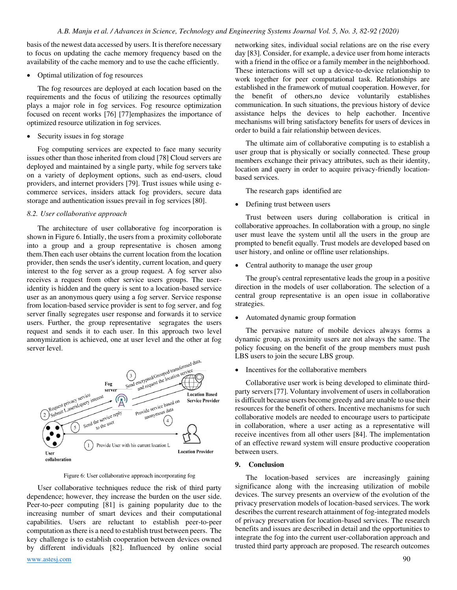basis of the newest data accessed by users. It is therefore necessary to focus on updating the cache memory frequency based on the availability of the cache memory and to use the cache efficiently.

#### • Optimal utilization of fog resources

The fog resources are deployed at each location based on the requirements and the focus of utilizing the resources optimally plays a major role in fog services. Fog resource optimization focused on recent works [76] [77]emphasizes the importance of optimized resource utilization in fog services.

• Security issues in fog storage

Fog computing services are expected to face many security issues other than those inherited from cloud [78] Cloud servers are deployed and maintained by a single party, while fog servers take on a variety of deployment options, such as end-users, cloud providers, and internet providers [79]. Trust issues while using ecommerce services, insiders attack fog providers, secure data storage and authentication issues prevail in fog services [80].

#### *8.2. User collaborative approach*

The architecture of user collaborative fog incorporation is shown in Figure 6. Intially, the users from a proximity colloborate into a group and a group representative is chosen among them.Then each user obtains the current location from the location provider, then sends the user's identity, current location, and query interest to the fog server as a group request. A fog server also receives a request from other service users groups. The useridentity is hidden and the query is sent to a location-based service user as an anonymous query using a fog server. Service response from location-based service provider is sent to fog server, and fog server finally segregates user response and forwards it to service users. Further, the group representative segragates the users request and sends it to each user. In this approach two level anonymization is achieved, one at user level and the other at fog server level.



Figure 6: User collaborative approach incorporating fog

[www.astesj.com](http://www.astesj.com/) 90 User collaborative techniques reduce the risk of third party dependence; however, they increase the burden on the user side. Peer-to-peer computing [81] is gaining popularity due to the increasing number of smart devices and their computational capabilities. Users are reluctant to establish peer-to-peer computation as there is a need to establish trust between peers. The key challenge is to establish cooperation between devices owned by different individuals [82]. Influenced by online social

networking sites, individual social relations are on the rise every day [83]. Consider, for example, a device user from home interacts with a friend in the office or a family member in the neighborhood. These interactions will set up a device-to-device relationship to work together for peer computational task. Relationships are established in the framework of mutual cooperation. However, for the benefit of others,no device voluntarily establishes communication. In such situations, the previous history of device assistance helps the devices to help eachother. Incentive mechanisms will bring satisfactory benefits for users of devices in order to build a fair relationship between devices.

The ultimate aim of collaborative computing is to establish a user group that is physically or socially connected. These group members exchange their privacy attributes, such as their identity, location and query in order to acquire privacy-friendly locationbased services.

The research gaps identified are

• Defining trust between users

Trust between users during collaboration is critical in collaborative approaches. In collaboration with a group, no single user must leave the system until all the users in the group are prompted to benefit equally. Trust models are developed based on user history, and online or offline user relationships.

• Central authority to manage the user group

The group's central representative leads the group in a positive direction in the models of user collaboration. The selection of a central group representative is an open issue in collaborative strategies.

• Automated dynamic group formation

 The pervasive nature of mobile devices always forms a dynamic group, as proximity users are not always the same. The policy focusing on the benefit of the group members must push LBS users to join the secure LBS group.

• Incentives for the collaborative members

Collaborative user work is being developed to eliminate thirdparty servers [77]. Voluntary involvement of users in collaboration is difficult because users become greedy and are unable to use their resources for the benefit of others. Incentive mechanisms for such collaborative models are needed to encourage users to participate in collaboration, where a user acting as a representative will receive incentives from all other users [84]. The implementation of an effective reward system will ensure productive cooperation between users.

#### **9. Conclusion**

The location-based services are increasingly gaining significance along with the increasing utilization of mobile devices. The survey presents an overview of the evolution of the privacy preservation models of location-based services. The work describes the current research attainment of fog-integrated models of privacy preservation for location-based services. The research benefits and issues are described in detail and the opportunities to integrate the fog into the current user-collaboration approach and trusted third party approach are proposed. The research outcomes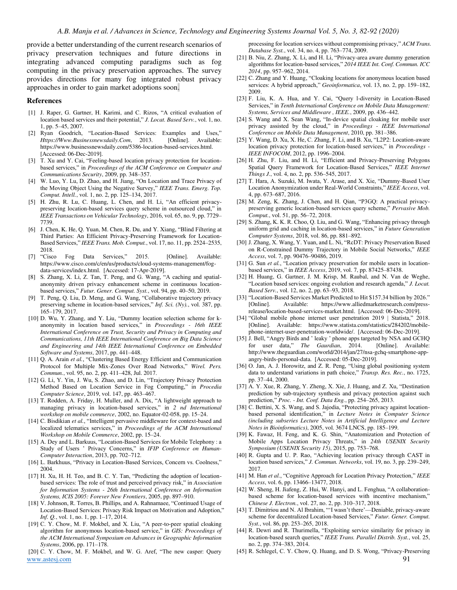provide a better understanding of the current research scenarios of privacy preservation techniques and future directions in integrating advanced computing paradigms such as fog computing in the privacy preservation approaches. The survey provides directions for many fog integrated robust privacy approaches in order to gain market adoptions soon.

#### **References**

- [1] J. Raper, G. Gartner, H. Karimi, and C. Rizos, "A critical evaluation of location based services and their potential," *J. Locat. Based Serv.*, vol. 1, no. 1, pp. 5–45, 2007.
- [2] Ryan Goodrich, "Location-Based Services: Examples and Uses," *Https://Www.Businessnewsdaily.Com*, 2013. [Online]. Available: https://www.businessnewsdaily.com/5386-location-based-services.html. [Accessed: 06-Dec-2019].
- [3] T. Xu and Y. Cai, "Feeling-based location privacy protection for locationbased services," in *Proceedings of the ACM Conference on Computer and Communications Security*, 2009, pp. 348–357.
- [4] W. Luo, Y. Lu, D. Zhao, and H. Jiang, "On Location and Trace Privacy of the Moving Object Using the Negative Survey," *IEEE Trans. Emerg. Top. Comput. Intell.*, vol. 1, no. 2, pp. 125–134, 2017.
- [5] H. Zhu, R. Lu, C. Huang, L. Chen, and H. Li, "An efficient privacypreserving location-based services query scheme in outsourced cloud," in *IEEE Transactions on Vehicular Technology*, 2016, vol. 65, no. 9, pp. 7729– 7739.
- [6] J. Chen, K. He, Q. Yuan, M. Chen, R. Du, and Y. Xiang, "Blind Filtering at Third Parties: An Efficient Privacy-Preserving Framework for Location-Based Services," *IEEE Trans. Mob. Comput.*, vol. 17, no. 11, pp. 2524–2535, 2018.
- [7] "Cisco Fog Data Services," 2015. [Online]. Available: https://www.cisco.com/c/en/us/products/cloud-systems-management/fogdata-services/index.html. [Accessed: 17-Apr-2019].
- [8] S. Zhang, X. Li, Z. Tan, T. Peng, and G. Wang, "A caching and spatialanonymity driven privacy enhancement scheme in continuous locationbased services," *Futur. Gener. Comput. Syst.*, vol. 94, pp. 40–50, 2019.
- [9] T. Peng, Q. Liu, D. Meng, and G. Wang, "Collaborative trajectory privacy preserving scheme in location-based services," *Inf. Sci. (Ny).*, vol. 387, pp. 165–179, 2017.
- [10] D. Wu, Y. Zhang, and Y. Liu, "Dummy location selection scheme for kanonymity in location based services," in *Proceedings - 16th IEEE International Conference on Trust, Security and Privacy in Computing and Communications, 11th IEEE International Conference on Big Data Science and Engineering and 14th IEEE International Conference on Embedded Software and Systems*, 2017, pp. 441–448.
- [11] Q. A. Arain *et al.*, "Clustering Based Energy Efficient and Communication Protocol for Multiple Mix-Zones Over Road Networks," *Wirel. Pers. Commun.*, vol. 95, no. 2, pp. 411–428, Jul. 2017.
- [12] G. Li, Y. Yin, J. Wu, S. Zhao, and D. Lin, "Trajectory Privacy Protection Method Based on Location Service in Fog Computing," in *Procedia Computer Science*, 2019, vol. 147, pp. 463–467.
- [13] T. Rodden, A. Friday, H. Muller, and A. Dix, "A lightweight approach to managing privacy in location-based services," in *2 nd International workshop on mobile commerce*, 2002, no. Equator-02-058, pp. 15–24.
- [14] C. Bisdikian *et al.*, "Intelligent pervasive middleware for context-based and localized telematics services," in *Proceedings of the ACM International Workshop on Mobile Commerce*, 2002, pp. 15–24.
- [15] A. Dey and L. Barkuus, "Location-Based Services for Mobile Telephony : a Study of Users ' Privacy Concerns," in *IFIP Conference on Human-Computer Interaction*, 2013, pp. 702–712.
- [16] L. Barkhuus, "Privacy in Location-Based Services, Concern vs. Coolness," 2004.
- [17] H. Xu, H. H. Teo, and B. C. Y. Tan, "Predicting the adoption of locationbased services: The role of trust and perceived privacy risk," in *Association for Information Systems - 26th International Conference on Information Systems, ICIS 2005: Forever New Frontiers*, 2005, pp. 897–910.
- [18] V. Johnson, R. Torres, B. Phillips, and A. Rahnamaee, "Continued Usage of Location-Based Services: Privacy Risk Impact on Motivation and Adoption," *Inf. Q.*, vol. 1, no. 1, pp. 1–17, 2014.
- [19] C. Y. Chow, M. F. Mokbel, and X. Liu, "A peer-to-peer spatial cloaking algorithm for anonymous location-based service," in *GIS: Proceedings of the ACM International Symposium on Advances in Geographic Information Systems*, 2006, pp. 171–178.

[www.astesj.com](http://www.astesj.com/) 91 [20] C. Y. Chow, M. F. Mokbel, and W. G. Aref, "The new casper: Query

processing for location services without compromising privacy," *ACM Trans. Database Syst.*, vol. 34, no. 4, pp. 763–774, 2009.

- [21] B. Niu, Z. Zhang, X. Li, and H. Li, "Privacy-area aware dummy generation algorithms for location-based services," *2014 IEEE Int. Conf. Commun. ICC 2014*, pp. 957–962, 2014.
- [22] C. Zhang and Y. Huang, "Cloaking locations for anonymous location based services: A hybrid approach," *Geoinformatica*, vol. 13, no. 2, pp. 159–182, 2009.
- [23] F. Liu, K. A. Hua, and Y. Cai, "Query l-diversity in Location-Based Services," in *Tenth International Conference on Mobile Data Management: Systems, Services and Middleware , IEEE.*, 2009, pp. 436–442.
- [24] S. Wang and X. Sean Wang, "In-device spatial cloaking for mobile user privacy assisted by the cloud," in *Proceedings - IEEE International Conference on Mobile Data Management*, 2010, pp. 381–386.
- [25] Y. Wang, D. Xu, X. He, C. Zhang, F. Li, and B. Xu, "L2P2: Location-aware location privacy protection for location-based services," in *Proceedings - IEEE INFOCOM*, 2012, pp. 1996–2004.
- [26] H. Zhu, F. Liu, and H. Li, "Efficient and Privacy-Preserving Polygons Spatial Query Framework for Location-Based Services," *IEEE Internet Things J.*, vol. 4, no. 2, pp. 536–545, 2017.
- [27] T. Hara, A. Suzuki, M. Iwata, Y. Arase, and X. Xie, "Dummy-Based User Location Anonymization under Real-World Constraints," *IEEE Access*, vol. 4, pp. 673–687, 2016.
- [28] M. Zeng, K. Zhang, J. Chen, and H. Qian, "P3GQ: A practical privacypreserving generic location-based services query scheme," *Pervasive Mob. Comput.*, vol. 51, pp. 56–72, 2018.
- [29] S. Zhang, K. K. R. Choo, Q. Liu, and G. Wang, "Enhancing privacy through uniform grid and caching in location-based services," in *Future Generation Computer Systems*, 2018, vol. 86, pp. 881–892.
- [30] J. Zhang, X. Wang, Y. Yuan, and L. Ni, "RcDT: Privacy Preservation Based on R-Constrained Dummy Trajectory in Mobile Social Networks," *IEEE Access*, vol. 7, pp. 90476–90486, 2019.
- [31] G. Sun *et al.*, "Location privacy preservation for mobile users in locationbased services," in *IEEE Access*, 2019, vol. 7, pp. 87425–87438.
- [32] H. Huang, G. Gartner, J. M. Krisp, M. Raubal, and N. Van de Weghe, "Location based services: ongoing evolution and research agenda," *J. Locat. Based Serv.*, vol. 12, no. 2, pp. 63–93, 2018.
- [33] "Location-Based Services Market Predicted to Hit \$157.34 billion by 2026." [Online]. Available: https://www.alliedmarketresearch.com/pressrelease/location-based-services-market.html. [Accessed: 06-Dec-2019].
- [34] "Global mobile phone internet user penetration 2019 | Statista," 2018. [Online]. Available: https://www.statista.com/statistics/284202/mobilephone-internet-user-penetration-worldwide/. [Accessed: 06-Dec-2019].
- [35] J. Bell, "Angry Birds and ' leaky ' phone apps targeted by NSA and GCHQ for user data," *The Gaurdian*, 2014. [Online]. Available: http://www.theguardian.com/world/2014/jan/27/nsa-gchq-smartphone-appangry-birds-personal-data. [Accessed: 05-Dec-2019].
- [36] O. Jan, A. J. Horowitz, and Z. R. Peng, "Using global positioning system data to understand variations in path choice," *Transp. Res. Rec.*, no. 1725, pp. 37–44, 2000.
- [37] A. Y. Xue, R. Zhang, Y. Zheng, X. Xie, J. Huang, and Z. Xu, "Destination prediction by sub-trajectory synthesis and privacy protection against such prediction," *Proc. - Int. Conf. Data Eng.*, pp. 254–265, 2013.
- [38] C. Bettini, X. S. Wang, and S. Jajodia, "Protecting privacy against locationbased personal identification," in *Lecture Notes in Computer Science (including subseries Lecture Notes in Artificial Intelligence and Lecture Notes in Bioinformatics)*, 2005, vol. 3674 LNCS, pp. 185–199.
- [39] K. Fawaz, H. Feng, and K. G. Shin, "Anatomization and Protection of Mobile Apps Location Privacy Threats," in *24th USENIX Security Symposium (USENIX Security 15)*, 2015, pp. 753–768.
- [40] R. Gupta and U. P. Rao, "Achieving location privacy through CAST in location based services," *J. Commun. Networks*, vol. 19, no. 3, pp. 239–249, 2017.
- [41] M. Han *et al.*, "Cognitive Approach for Location Privacy Protection," *IEEE Access*, vol. 6, pp. 13466–13477, 2018.
- [42] W. Sheng, H. Jiafeng, Z. Hui, W. Hanyi, and L. Fenghua, "A collaborationbased scheme for location-based services with incentive mechanism," *Chinese J. Electron.*, vol. 27, no. 2, pp. 310–317, 2018.
- [43] T. Dimitriou and N. Al Ibrahim, "'I wasn't there'—Deniable, privacy-aware scheme for decentralized Location-based Services," *Futur. Gener. Comput. Syst.*, vol. 86, pp. 253–265, 2018.
- [44] R. Dewri and R. Thurimella, "Exploiting service similarity for privacy in location-based search queries," *IEEE Trans. Parallel Distrib. Syst.*, vol. 25, no. 2, pp. 374–383, 2014.
- [45] R. Schlegel, C. Y. Chow, Q. Huang, and D. S. Wong, "Privacy-Preserving